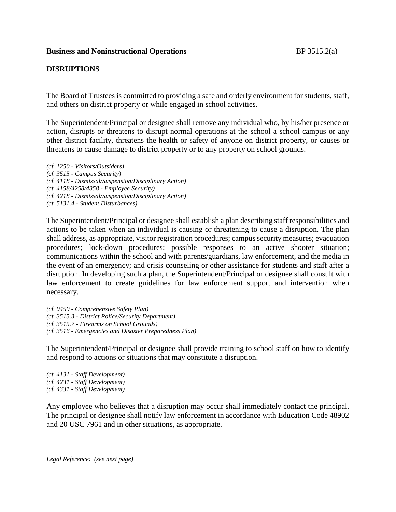### **Business and Noninstructional Operations** BP 3515.2(a)

## **DISRUPTIONS**

The Board of Trustees is committed to providing a safe and orderly environment for students, staff, and others on district property or while engaged in school activities.

The Superintendent/Principal or designee shall remove any individual who, by his/her presence or action, disrupts or threatens to disrupt normal operations at the school a school campus or any other district facility, threatens the health or safety of anyone on district property, or causes or threatens to cause damage to district property or to any property on school grounds.

*(cf. 1250 - Visitors/Outsiders) (cf. 3515 - Campus Security) (cf. 4118 - Dismissal/Suspension/Disciplinary Action) (cf. 4158/4258/4358 - Employee Security) (cf. 4218 - Dismissal/Suspension/Disciplinary Action) (cf. 5131.4 - Student Disturbances)*

The Superintendent/Principal or designee shall establish a plan describing staff responsibilities and actions to be taken when an individual is causing or threatening to cause a disruption. The plan shall address, as appropriate, visitor registration procedures; campus security measures; evacuation procedures; lock-down procedures; possible responses to an active shooter situation; communications within the school and with parents/guardians, law enforcement, and the media in the event of an emergency; and crisis counseling or other assistance for students and staff after a disruption. In developing such a plan, the Superintendent/Principal or designee shall consult with law enforcement to create guidelines for law enforcement support and intervention when necessary.

*(cf. 0450 - Comprehensive Safety Plan) (cf. 3515.3 - District Police/Security Department) (cf. 3515.7 - Firearms on School Grounds) (cf. 3516 - Emergencies and Disaster Preparedness Plan)*

The Superintendent/Principal or designee shall provide training to school staff on how to identify and respond to actions or situations that may constitute a disruption.

*(cf. 4131 - Staff Development) (cf. 4231 - Staff Development) (cf. 4331 - Staff Development)*

Any employee who believes that a disruption may occur shall immediately contact the principal. The principal or designee shall notify law enforcement in accordance with Education Code 48902 and 20 USC 7961 and in other situations, as appropriate.

*Legal Reference: (see next page)*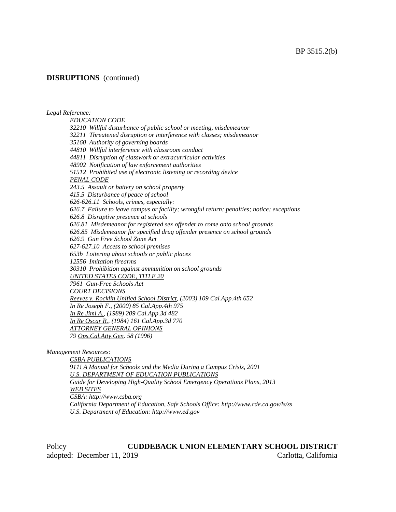## **DISRUPTIONS** (continued)

*Legal Reference:*

*EDUCATION CODE 32210 Willful disturbance of public school or meeting, misdemeanor 32211 Threatened disruption or interference with classes; misdemeanor 35160 Authority of governing boards 44810 Willful interference with classroom conduct 44811 Disruption of classwork or extracurricular activities 48902 Notification of law enforcement authorities 51512 Prohibited use of electronic listening or recording device PENAL CODE 243.5 Assault or battery on school property 415.5 Disturbance of peace of school 626-626.11 Schools, crimes, especially: 626.7 Failure to leave campus or facility; wrongful return; penalties; notice; exceptions 626.8 Disruptive presence at schools 626.81 Misdemeanor for registered sex offender to come onto school grounds 626.85 Misdemeanor for specified drug offender presence on school grounds 626.9 Gun Free School Zone Act 627-627.10 Access to school premises 653b Loitering about schools or public places 12556 Imitation firearms 30310 Prohibition against ammunition on school grounds UNITED STATES CODE, TITLE 20 7961 Gun-Free Schools Act COURT DECISIONS Reeves v. Rocklin Unified School District, (2003) 109 Cal.App.4th 652 In Re Joseph F., (2000) 85 Cal.App.4th 975 In Re Jimi A., (1989) 209 Cal.App.3d 482 In Re Oscar R., (1984) 161 Cal.App.3d 770 ATTORNEY GENERAL OPINIONS 79 Ops.Cal.Atty.Gen. 58 (1996)*

*Management Resources:*

*CSBA PUBLICATIONS 911! A Manual for Schools and the Media During a Campus Crisis, 2001 U.S. DEPARTMENT OF EDUCATION PUBLICATIONS Guide for Developing High-Quality School Emergency Operations Plans, 2013 WEB SITES CSBA: http://www.csba.org California Department of Education, Safe Schools Office: http://www.cde.ca.gov/ls/ss U.S. Department of Education: http://www.ed.gov*

Policy **CUDDEBACK UNION ELEMENTARY SCHOOL DISTRICT** adopted: December 11, 2019 Carlotta, California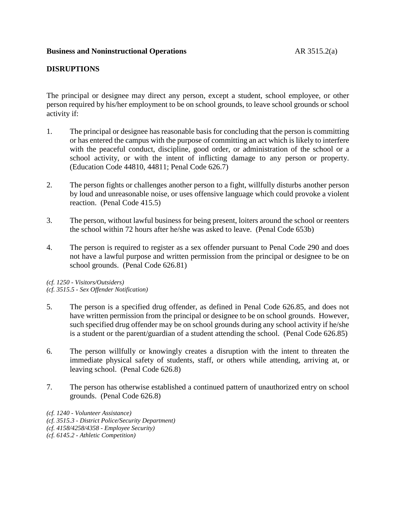# **DISRUPTIONS**

The principal or designee may direct any person, except a student, school employee, or other person required by his/her employment to be on school grounds, to leave school grounds or school activity if:

- 1. The principal or designee has reasonable basis for concluding that the person is committing or has entered the campus with the purpose of committing an act which is likely to interfere with the peaceful conduct, discipline, good order, or administration of the school or a school activity, or with the intent of inflicting damage to any person or property. (Education Code 44810, 44811; Penal Code 626.7)
- 2. The person fights or challenges another person to a fight, willfully disturbs another person by loud and unreasonable noise, or uses offensive language which could provoke a violent reaction. (Penal Code 415.5)
- 3. The person, without lawful business for being present, loiters around the school or reenters the school within 72 hours after he/she was asked to leave. (Penal Code 653b)
- 4. The person is required to register as a sex offender pursuant to Penal Code 290 and does not have a lawful purpose and written permission from the principal or designee to be on school grounds. (Penal Code 626.81)

*(cf. 1250 - Visitors/Outsiders) (cf. 3515.5 - Sex Offender Notification)*

- 5. The person is a specified drug offender, as defined in Penal Code 626.85, and does not have written permission from the principal or designee to be on school grounds. However, such specified drug offender may be on school grounds during any school activity if he/she is a student or the parent/guardian of a student attending the school. (Penal Code 626.85)
- 6. The person willfully or knowingly creates a disruption with the intent to threaten the immediate physical safety of students, staff, or others while attending, arriving at, or leaving school. (Penal Code 626.8)
- 7. The person has otherwise established a continued pattern of unauthorized entry on school grounds. (Penal Code 626.8)
- *(cf. 1240 - Volunteer Assistance)*
- *(cf. 3515.3 - District Police/Security Department)*
- *(cf. 4158/4258/4358 - Employee Security)*
- *(cf. 6145.2 - Athletic Competition)*